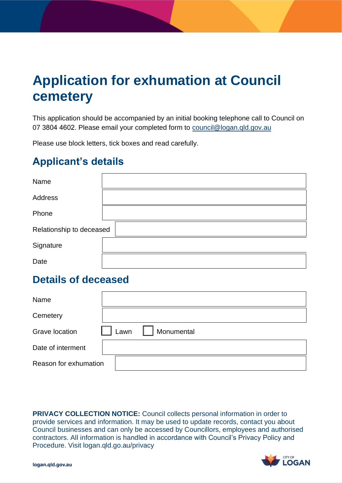# **Application for exhumation at Council cemetery**

This application should be accompanied by an initial booking telephone call to Council on 07 3804 4602. Please email your completed form to council@logan.qld.gov.au

Please use block letters, tick boxes and read carefully.

# **Applicant's details**

| Name                     |  |
|--------------------------|--|
| Address                  |  |
| Phone                    |  |
| Relationship to deceased |  |
| Signature                |  |
| Date                     |  |

### **Details of deceased**

| Name                  |                    |
|-----------------------|--------------------|
| Cemetery              |                    |
| <b>Grave location</b> | Lawn<br>Monumental |
| Date of interment     |                    |
| Reason for exhumation |                    |

 **PRIVACY COLLECTION NOTICE:** Council collects personal information in order to provide services and information. It may be used to update records, contact you about Council businesses and can only be accessed by Councillors, employees and authorised contractors. All information is handled in accordance with Council's Privacy Policy and Procedure. Visit logan.qld.go.au/privacy

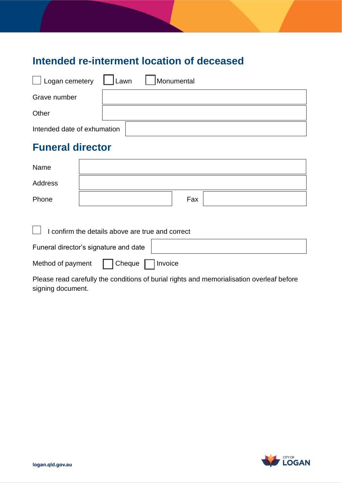# **Intended re-interment location of deceased**

| Logan cemetery Lawn         | Monumental |
|-----------------------------|------------|
| Grave number                |            |
| Other                       |            |
| Intended date of exhumation |            |

# **Funeral director**

| Name    |     |
|---------|-----|
| Address |     |
| Phone   | Fax |

 $\Box$  I confirm the details above are true and correct

| Funeral director's signature and date |                              |  |  |  |
|---------------------------------------|------------------------------|--|--|--|
| Method of payment                     | $\Box$ Cheque $\Box$ Invoice |  |  |  |

 Please read carefully the conditions of burial rights and memorialisation overleaf before signing document.

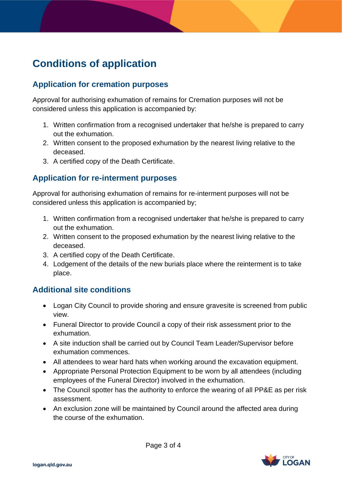# **Conditions of application**

### **Application for cremation purposes**

 Approval for authorising exhumation of remains for Cremation purposes will not be considered unless this application is accompanied by:

- 1. Written confirmation from a recognised undertaker that he/she is prepared to carry out the exhumation.
- 2. Written consent to the proposed exhumation by the nearest living relative to the deceased.
- 3. A certified copy of the Death Certificate.

### **Application for re-interment purposes**

 Approval for authorising exhumation of remains for re-interment purposes will not be considered unless this application is accompanied by;

- 1. Written confirmation from a recognised undertaker that he/she is prepared to carry out the exhumation.
- 2. Written consent to the proposed exhumation by the nearest living relative to the deceased.
- 3. A certified copy of the Death Certificate.
- 4. Lodgement of the details of the new burials place where the reinterment is to take place.

### **Additional site conditions**

- • Logan City Council to provide shoring and ensure gravesite is screened from public view.
- • Funeral Director to provide Council a copy of their risk assessment prior to the exhumation.
- • A site induction shall be carried out by Council Team Leader/Supervisor before exhumation commences.
- All attendees to wear hard hats when working around the excavation equipment.
- • Appropriate Personal Protection Equipment to be worn by all attendees (including employees of the Funeral Director) involved in the exhumation.
- • The Council spotter has the authority to enforce the wearing of all PP&E as per risk assessment.
- • An exclusion zone will be maintained by Council around the affected area during the course of the exhumation.